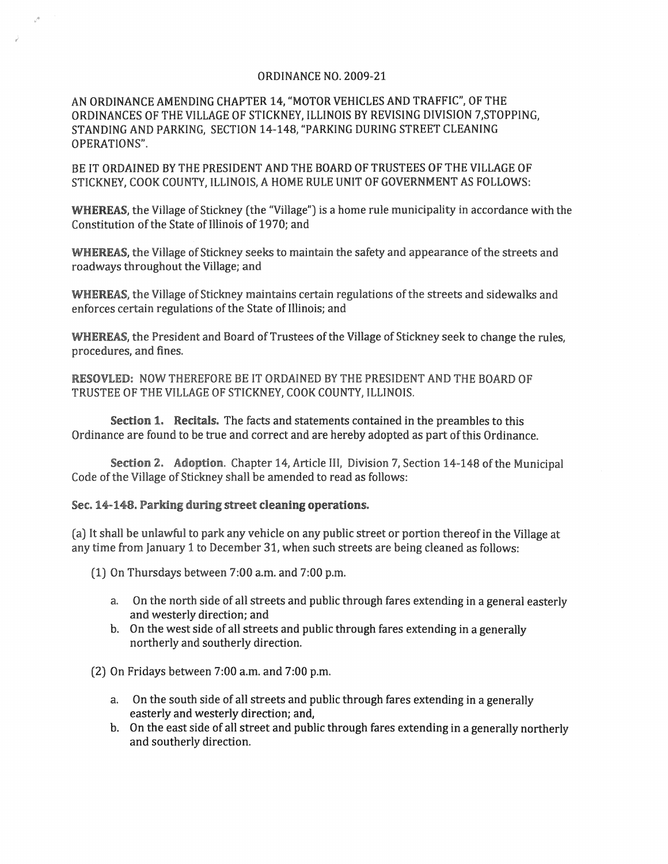## ORDINANCE NO. 2009-21

AN ORDINANCE AMENDING CHAPTER 14, "MOTOR VEHICLES AND TRAFFIC", OF THE ORDINANCES OF THE VILLAGE OF STICKNEY, ILLINOIS BY REVISING DIVISION 7,STOPPING, STANDING AND PARKING, SECTION 14-148, "PARKING DURING STREET CLEANING OPERATIONS",

BE IT ORDAINED BY THE PRESIDENT AND THE BOARD OF TRUSTEES OF THE VILLAGE OF STICKNEY, COOK COUNTY, ILLINOIS, A HOME RULE UNIT OF GOVERNMENT AS FOLLOWS:

WHEREAS, the Village of Stickney (the "Village") is a home rule municipality in accordance with the Constitution of the State of Illinois of 1970; and

WHEREAS, the Village of Stickney seeks to maintain the safety and appearance of the streets and roadways throughout the Village; and

WHEREAS, the Village of Stickney maintains certain regulations of the streets and sidewalks and enforces certain regulations of the State of Illinois; and

WHEREAS, the President and Board of Trustees of the Village of Stickney seek to change the rules, procedures, and fines.

RESOVLED: NOW THEREFORE BE IT ORDAINED BY THE PRESIDENT AND THE BOARD OF TRUSTEE OF THE VILLAGE OF STICKNEY, COOK COUNTY, ILLINOIS.

Section 1. Recitals. The facts and statements contained in the preambles to this Ordinance are found to be true and correct and are hereby adopted as part of this Ordinance.

Section 2. Adoption. Chapter 14, Article III, Division 7, Section 14-148 of the Municipal Code of the Village of Stickney shall be amended to read as follows:

## Sec.14~148. Parking during street cleaning operations.

(a) It shall be unlawful to park any vehicle on any public street or portion thereof in the Village at any time from January 1 to December 31, when such streets are being cleaned as follows:

(1) On Thursdays between 7:00 a.m. and 7:00 p.m.

- a. On the north side of all streets and public through fares extending in a general easterly and westerly direction; and
- b. On the west side of all streets and public through fares extending in a generally northerly and southerly direction.

(2) On Fridays between 7:00 a.m. and 7:00 p.m.

- a. On the south side of all streets and public through fares extending in a generally easterly and westerly direction; and,
- b. On the east side of all street and public through fares extending in a generally northerly and southerly direction.